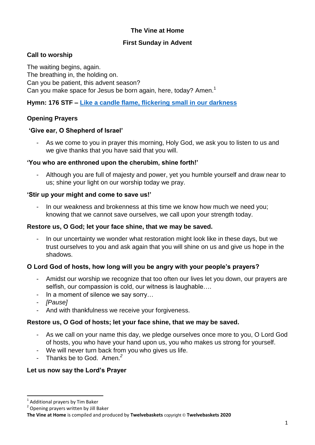# **The Vine at Home**

### **First Sunday in Advent**

### **Call to worship**

The waiting begins, again. The breathing in, the holding on. Can you be patient, this advent season? Can you make space for Jesus be born again, here, today? Amen.<sup>1</sup>

**Hymn: 176 STF – [Like a candle flame, flickering](https://www.youtube.com/watch?v=TGAXlGBB10M) small in our darkness**

## **Opening Prayers**

### **'Give ear, O Shepherd of Israel'**

As we come to you in prayer this morning, Holy God, we ask you to listen to us and we give thanks that you have said that you will.

### **'You who are enthroned upon the cherubim, shine forth!'**

Although you are full of majesty and power, yet you humble yourself and draw near to us; shine your light on our worship today we pray.

### **'Stir up your might and come to save us!'**

In our weakness and brokenness at this time we know how much we need you; knowing that we cannot save ourselves, we call upon your strength today.

#### **Restore us, O God; let your face shine, that we may be saved.**

- In our uncertainty we wonder what restoration might look like in these days, but we trust ourselves to you and ask again that you will shine on us and give us hope in the shadows.

## **O Lord God of hosts, how long will you be angry with your people's prayers?**

- Amidst our worship we recognize that too often our lives let you down, our prayers are selfish, our compassion is cold, our witness is laughable….
- In a moment of silence we say sorry…
- *[Pause]*
- And with thankfulness we receive your forgiveness.

#### **Restore us, O God of hosts; let your face shine, that we may be saved.**

- As we call on your name this day, we pledge ourselves once more to you, O Lord God of hosts, you who have your hand upon us, you who makes us strong for yourself.
- We will never turn back from you who gives us life.
- Thanks be to God. Amen. *2*

## **Let us now say the Lord's Prayer**

<sup>&</sup>lt;u>.</u><br><sup>1</sup> Additional prayers by Tim Baker

<sup>&</sup>lt;sup>2</sup> Opening prayers written by Jill Baker

**The Vine at Home** is compiled and produced by **Twelvebaskets** copyright © **Twelvebaskets 2020**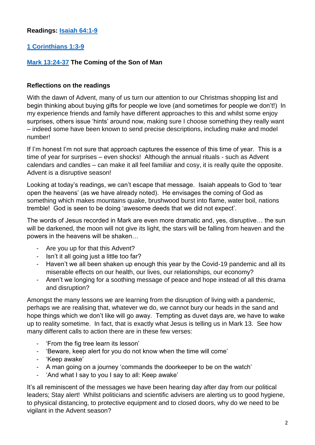## **Readings: [Isaiah 64:1-9](https://www.biblegateway.com/passage/?search=Isaiah+64%3A1-9&version=NIVUK)**

## **[1 Corinthians 1:3-9](https://www.biblegateway.com/passage/?search=1+Corinthians+1%3A3-9&version=NIVUK)**

## **[Mark 13:24-37](https://www.biblegateway.com/passage/?search=Mark+13%3A24-37+&version=NIVUK) The Coming of the Son of Man**

### **Reflections on the readings**

With the dawn of Advent, many of us turn our attention to our Christmas shopping list and begin thinking about buying gifts for people we love (and sometimes for people we don't!) In my experience friends and family have different approaches to this and whilst some enjoy surprises, others issue 'hints' around now, making sure I choose something they really want – indeed some have been known to send precise descriptions, including make and model number!

If I'm honest I'm not sure that approach captures the essence of this time of year. This is a time of year for surprises – even shocks! Although the annual rituals - such as Advent calendars and candles – can make it all feel familiar and cosy, it is really quite the opposite. Advent is a disruptive season!

Looking at today's readings, we can't escape that message. Isaiah appeals to God to 'tear open the heavens' (as we have already noted). He envisages the coming of God as something which makes mountains quake, brushwood burst into flame, water boil, nations tremble! God is seen to be doing 'awesome deeds that we did not expect'.

The words of Jesus recorded in Mark are even more dramatic and, yes, disruptive… the sun will be darkened, the moon will not give its light, the stars will be falling from heaven and the powers in the heavens will be shaken…

- Are you up for that this Advent?
- Isn't it all going just a little too far?
- Haven't we all been shaken up enough this year by the Covid-19 pandemic and all its miserable effects on our health, our lives, our relationships, our economy?
- Aren't we longing for a soothing message of peace and hope instead of all this drama and disruption?

Amongst the many lessons we are learning from the disruption of living with a pandemic, perhaps we are realising that, whatever we do, we cannot bury our heads in the sand and hope things which we don't like will go away. Tempting as duvet days are, we have to wake up to reality sometime. In fact, that is exactly what Jesus is telling us in Mark 13. See how many different calls to action there are in these few verses:

- 'From the fig tree learn its lesson'
- 'Beware, keep alert for you do not know when the time will come'
- 'Keep awake'
- A man going on a journey 'commands the doorkeeper to be on the watch'
- 'And what I say to you I say to all: Keep awake'

It's all reminiscent of the messages we have been hearing day after day from our political leaders; Stay alert! Whilst politicians and scientific advisers are alerting us to good hygiene, to physical distancing, to protective equipment and to closed doors, why do we need to be vigilant in the Advent season?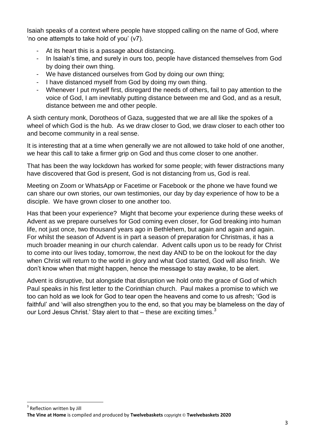Isaiah speaks of a context where people have stopped calling on the name of God, where 'no one attempts to take hold of you' (v7).

- At its heart this is a passage about distancing.
- In Isaiah's time, and surely in ours too, people have distanced themselves from God by doing their own thing.
- We have distanced ourselves from God by doing our own thing;
- I have distanced myself from God by doing my own thing.
- Whenever I put myself first, disregard the needs of others, fail to pay attention to the voice of God, I am inevitably putting distance between me and God, and as a result, distance between me and other people.

A sixth century monk, Dorotheos of Gaza, suggested that we are all like the spokes of a wheel of which God is the hub. As we draw closer to God, we draw closer to each other too and become community in a real sense.

It is interesting that at a time when generally we are not allowed to take hold of one another, we hear this call to take a firmer grip on God and thus come closer to one another.

That has been the way lockdown has worked for some people; with fewer distractions many have discovered that God is present, God is not distancing from us, God is real.

Meeting on Zoom or WhatsApp or Facetime or Facebook or the phone we have found we can share our own stories, our own testimonies, our day by day experience of how to be a disciple. We have grown closer to one another too.

Has that been your experience? Might that become your experience during these weeks of Advent as we prepare ourselves for God coming even closer, for God breaking into human life, not just once, two thousand years ago in Bethlehem, but again and again and again. For whilst the season of Advent is in part a season of preparation for Christmas, it has a much broader meaning in our church calendar. Advent calls upon us to be ready for Christ to come into our lives today, tomorrow, the next day AND to be on the lookout for the day when Christ will return to the world in glory and what God started, God will also finish. We don't know when that might happen, hence the message to stay awake, to be alert.

Advent is disruptive, but alongside that disruption we hold onto the grace of God of which Paul speaks in his first letter to the Corinthian church. Paul makes a promise to which we too can hold as we look for God to tear open the heavens and come to us afresh; 'God is faithful' and 'will also strengthen you to the end, so that you may be blameless on the day of our Lord Jesus Christ.' Stay alert to that  $-$  these are exciting times. $3$ 

**.** 

<sup>3</sup> Reflection written by Jill **The Vine at Home** is compiled and produced by **Twelvebaskets** copyright © **Twelvebaskets 2020**